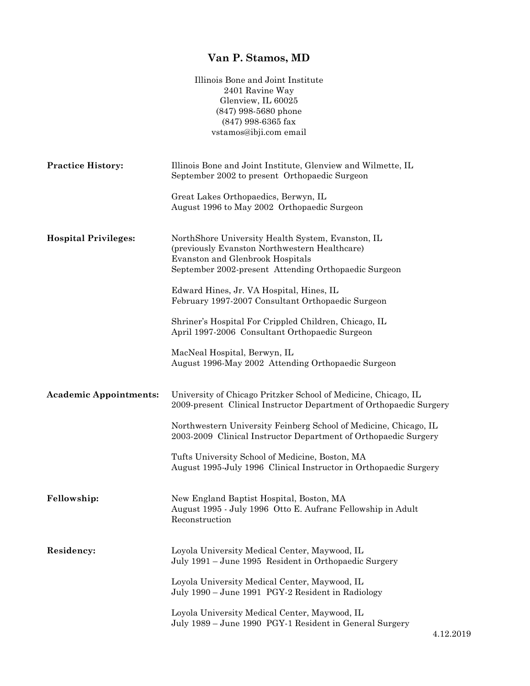## **Van P. Stamos, MD**

|                               | Illinois Bone and Joint Institute<br>2401 Ravine Way<br>Glenview, IL 60025<br>$(847)$ 998-5680 phone<br>$(847)$ 998-6365 fax<br>vstamos@ibji.com email                                                                                                                                                                                                                                                     |
|-------------------------------|------------------------------------------------------------------------------------------------------------------------------------------------------------------------------------------------------------------------------------------------------------------------------------------------------------------------------------------------------------------------------------------------------------|
| <b>Practice History:</b>      | Illinois Bone and Joint Institute, Glenview and Wilmette, IL<br>September 2002 to present Orthopaedic Surgeon                                                                                                                                                                                                                                                                                              |
|                               | Great Lakes Orthopaedics, Berwyn, IL<br>August 1996 to May 2002 Orthopaedic Surgeon                                                                                                                                                                                                                                                                                                                        |
| <b>Hospital Privileges:</b>   | NorthShore University Health System, Evanston, IL<br>(previously Evanston Northwestern Healthcare)<br>Evanston and Glenbrook Hospitals<br>September 2002-present Attending Orthopaedic Surgeon<br>Edward Hines, Jr. VA Hospital, Hines, IL<br>February 1997-2007 Consultant Orthopaedic Surgeon<br>Shriner's Hospital For Crippled Children, Chicago, IL<br>April 1997-2006 Consultant Orthopaedic Surgeon |
|                               | MacNeal Hospital, Berwyn, IL<br>August 1996-May 2002 Attending Orthopaedic Surgeon                                                                                                                                                                                                                                                                                                                         |
| <b>Academic Appointments:</b> | University of Chicago Pritzker School of Medicine, Chicago, IL<br>2009-present Clinical Instructor Department of Orthopaedic Surgery<br>Northwestern University Feinberg School of Medicine, Chicago, IL<br>2003-2009 Clinical Instructor Department of Orthopaedic Surgery<br>Tufts University School of Medicine, Boston, MA<br>August 1995-July 1996 Clinical Instructor in Orthopaedic Surgery         |
| Fellowship:                   | New England Baptist Hospital, Boston, MA<br>August 1995 - July 1996 Otto E. Aufranc Fellowship in Adult<br>Reconstruction                                                                                                                                                                                                                                                                                  |
| Residency:                    | Loyola University Medical Center, Maywood, IL<br>July 1991 – June 1995 Resident in Orthopaedic Surgery<br>Loyola University Medical Center, Maywood, IL<br>July 1990 - June 1991 PGY-2 Resident in Radiology<br>Loyola University Medical Center, Maywood, IL<br>July 1989 – June 1990 PGY-1 Resident in General Surgery                                                                                   |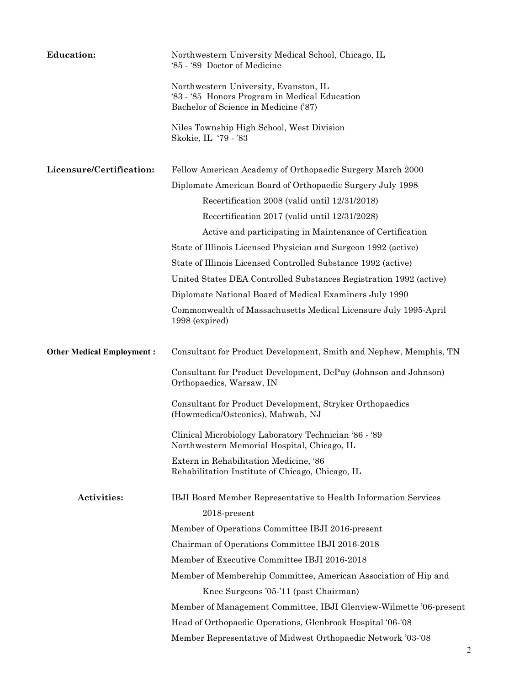| <b>Education:</b>                | Northwestern University Medical School, Chicago, IL<br>'85 '89 Doctor of Medicine                                               |
|----------------------------------|---------------------------------------------------------------------------------------------------------------------------------|
|                                  | Northwestern University, Evanston, IL<br>'83 - '85 Honors Program in Medical Education<br>Bachelor of Science in Medicine ('87) |
|                                  | Niles Township High School, West Division<br>Skokie, IL '79 - '83                                                               |
| Licensure/Certification:         | Fellow American Academy of Orthopaedic Surgery March 2000                                                                       |
|                                  | Diplomate American Board of Orthopaedic Surgery July 1998                                                                       |
|                                  | Recertification 2008 (valid until 12/31/2018)                                                                                   |
|                                  | Recertification 2017 (valid until 12/31/2028)                                                                                   |
|                                  | Active and participating in Maintenance of Certification                                                                        |
|                                  | State of Illinois Licensed Physician and Surgeon 1992 (active)                                                                  |
|                                  | State of Illinois Licensed Controlled Substance 1992 (active)                                                                   |
|                                  | United States DEA Controlled Substances Registration 1992 (active)                                                              |
|                                  | Diplomate National Board of Medical Examiners July 1990                                                                         |
|                                  | Commonwealth of Massachusetts Medical Licensure July 1995-April<br>1998 (expired)                                               |
| <b>Other Medical Employment:</b> | Consultant for Product Development, Smith and Nephew, Memphis, TN                                                               |
|                                  | Consultant for Product Development, DePuy (Johnson and Johnson)<br>Orthopaedics, Warsaw, IN                                     |
|                                  | Consultant for Product Development, Stryker Orthopaedics<br>(Howmedica/Osteonics), Mahwah, NJ                                   |
|                                  | Clinical Microbiology Laboratory Technician '86 - '89<br>Northwestern Memorial Hospital, Chicago, IL                            |
|                                  | Extern in Rehabilitation Medicine, '86<br>Rehabilitation Institute of Chicago, Chicago, IL                                      |
| Activities:                      | IBJI Board Member Representative to Health Information Services                                                                 |
|                                  | 2018-present                                                                                                                    |
|                                  | Member of Operations Committee IBJI 2016-present                                                                                |
|                                  | Chairman of Operations Committee IBJI 2016-2018                                                                                 |
|                                  | Member of Executive Committee IBJI 2016-2018                                                                                    |
|                                  | Member of Membership Committee, American Association of Hip and                                                                 |
|                                  | Knee Surgeons '05-'11 (past Chairman)                                                                                           |
|                                  | Member of Management Committee, IBJI Glenview-Wilmette '06-present                                                              |
|                                  | Head of Orthopaedic Operations, Glenbrook Hospital '06-'08                                                                      |
|                                  | Member Representative of Midwest Orthopaedic Network '03-'08                                                                    |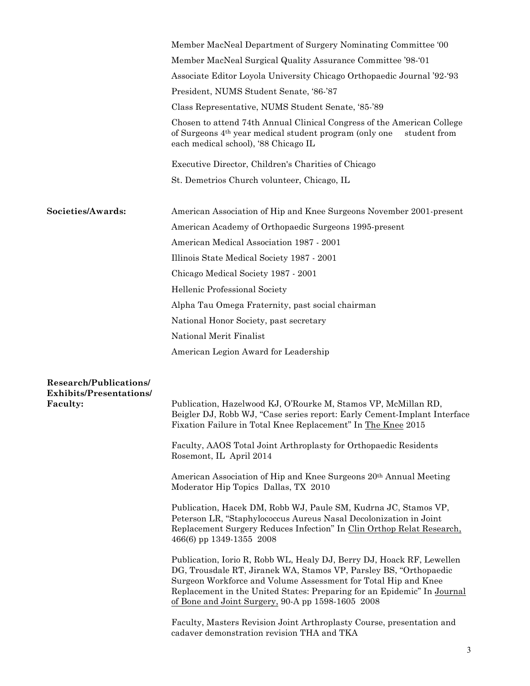|                                                   | Member MacNeal Department of Surgery Nominating Committee '00                                                                                                                                                                                                                                                                                |
|---------------------------------------------------|----------------------------------------------------------------------------------------------------------------------------------------------------------------------------------------------------------------------------------------------------------------------------------------------------------------------------------------------|
|                                                   | Member MacNeal Surgical Quality Assurance Committee '98-'01                                                                                                                                                                                                                                                                                  |
|                                                   | Associate Editor Loyola University Chicago Orthopaedic Journal '92-'93                                                                                                                                                                                                                                                                       |
|                                                   | President, NUMS Student Senate, '86-'87                                                                                                                                                                                                                                                                                                      |
|                                                   | Class Representative, NUMS Student Senate, '85-'89                                                                                                                                                                                                                                                                                           |
|                                                   | Chosen to attend 74th Annual Clinical Congress of the American College<br>of Surgeons 4 <sup>th</sup> year medical student program (only one<br>student from<br>each medical school), '88 Chicago IL                                                                                                                                         |
|                                                   | Executive Director, Children's Charities of Chicago                                                                                                                                                                                                                                                                                          |
|                                                   | St. Demetrios Church volunteer, Chicago, IL                                                                                                                                                                                                                                                                                                  |
| Societies/Awards:                                 | American Association of Hip and Knee Surgeons November 2001-present                                                                                                                                                                                                                                                                          |
|                                                   | American Academy of Orthopaedic Surgeons 1995-present                                                                                                                                                                                                                                                                                        |
|                                                   | American Medical Association 1987 - 2001                                                                                                                                                                                                                                                                                                     |
|                                                   | Illinois State Medical Society 1987 - 2001                                                                                                                                                                                                                                                                                                   |
|                                                   | Chicago Medical Society 1987 - 2001                                                                                                                                                                                                                                                                                                          |
|                                                   | Hellenic Professional Society                                                                                                                                                                                                                                                                                                                |
|                                                   | Alpha Tau Omega Fraternity, past social chairman                                                                                                                                                                                                                                                                                             |
|                                                   | National Honor Society, past secretary                                                                                                                                                                                                                                                                                                       |
|                                                   | National Merit Finalist                                                                                                                                                                                                                                                                                                                      |
|                                                   | American Legion Award for Leadership                                                                                                                                                                                                                                                                                                         |
| Research/Publications/                            |                                                                                                                                                                                                                                                                                                                                              |
| <b>Exhibits/Presentations/</b><br><b>Faculty:</b> | Publication, Hazelwood KJ, O'Rourke M, Stamos VP, McMillan RD,<br>Beigler DJ, Robb WJ, "Case series report: Early Cement-Implant Interface<br>Fixation Failure in Total Knee Replacement" In The Knee 2015                                                                                                                                   |
|                                                   | Faculty, AAOS Total Joint Arthroplasty for Orthopaedic Residents<br>Rosemont, IL April 2014                                                                                                                                                                                                                                                  |
|                                                   | American Association of Hip and Knee Surgeons 20 <sup>th</sup> Annual Meeting<br>Moderator Hip Topics Dallas, TX 2010                                                                                                                                                                                                                        |
|                                                   | Publication, Hacek DM, Robb WJ, Paule SM, Kudrna JC, Stamos VP,<br>Peterson LR, "Staphylococcus Aureus Nasal Decolonization in Joint<br>Replacement Surgery Reduces Infection" In Clin Orthop Relat Research,<br>466(6) pp 1349-1355 2008                                                                                                    |
|                                                   | Publication, Iorio R, Robb WL, Healy DJ, Berry DJ, Hoack RF, Lewellen<br>DG, Trousdale RT, Jiranek WA, Stamos VP, Parsley BS, "Orthopaedic<br>Surgeon Workforce and Volume Assessment for Total Hip and Knee<br>Replacement in the United States: Preparing for an Epidemic" In Journal<br>of Bone and Joint Surgery, 90-A pp 1598-1605 2008 |
|                                                   | Faculty, Masters Revision Joint Arthroplasty Course, presentation and<br>cadaver demonstration revision THA and TKA                                                                                                                                                                                                                          |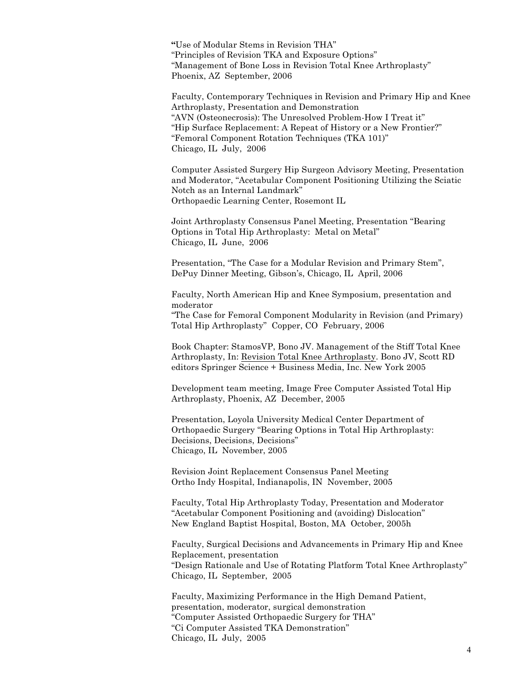**"**Use of Modular Stems in Revision THA" "Principles of Revision TKA and Exposure Options" "Management of Bone Loss in Revision Total Knee Arthroplasty" Phoenix, AZ September, 2006

Faculty, Contemporary Techniques in Revision and Primary Hip and Knee Arthroplasty, Presentation and Demonstration "AVN (Osteonecrosis): The Unresolved Problem-How I Treat it" "Hip Surface Replacement: A Repeat of History or a New Frontier?" "Femoral Component Rotation Techniques (TKA 101)" Chicago, IL July, 2006

Computer Assisted Surgery Hip Surgeon Advisory Meeting, Presentation and Moderator, "Acetabular Component Positioning Utilizing the Sciatic Notch as an Internal Landmark" Orthopaedic Learning Center, Rosemont IL

Joint Arthroplasty Consensus Panel Meeting, Presentation "Bearing Options in Total Hip Arthroplasty: Metal on Metal" Chicago, IL June, 2006

Presentation, "The Case for a Modular Revision and Primary Stem", DePuy Dinner Meeting, Gibson's, Chicago, IL April, 2006

Faculty, North American Hip and Knee Symposium, presentation and moderator

"The Case for Femoral Component Modularity in Revision (and Primary) Total Hip Arthroplasty" Copper, CO February, 2006

Book Chapter: StamosVP, Bono JV. Management of the Stiff Total Knee Arthroplasty, In: Revision Total Knee Arthroplasty. Bono JV, Scott RD editors Springer Science + Business Media, Inc. New York 2005

Development team meeting, Image Free Computer Assisted Total Hip Arthroplasty, Phoenix, AZ December, 2005

Presentation, Loyola University Medical Center Department of Orthopaedic Surgery "Bearing Options in Total Hip Arthroplasty: Decisions, Decisions, Decisions" Chicago, IL November, 2005

Revision Joint Replacement Consensus Panel Meeting Ortho Indy Hospital, Indianapolis, IN November, 2005

Faculty, Total Hip Arthroplasty Today, Presentation and Moderator "Acetabular Component Positioning and (avoiding) Dislocation" New England Baptist Hospital, Boston, MA October, 2005h

Faculty, Surgical Decisions and Advancements in Primary Hip and Knee Replacement, presentation "Design Rationale and Use of Rotating Platform Total Knee Arthroplasty" Chicago, IL September, 2005

Faculty, Maximizing Performance in the High Demand Patient, presentation, moderator, surgical demonstration "Computer Assisted Orthopaedic Surgery for THA" "Ci Computer Assisted TKA Demonstration" Chicago, IL July, 2005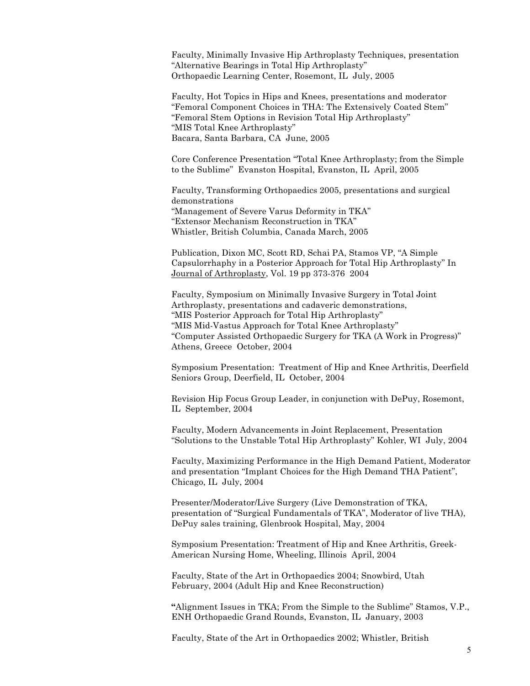Faculty, Minimally Invasive Hip Arthroplasty Techniques, presentation "Alternative Bearings in Total Hip Arthroplasty" Orthopaedic Learning Center, Rosemont, IL July, 2005

Faculty, Hot Topics in Hips and Knees, presentations and moderator "Femoral Component Choices in THA: The Extensively Coated Stem" "Femoral Stem Options in Revision Total Hip Arthroplasty" "MIS Total Knee Arthroplasty" Bacara, Santa Barbara, CA June, 2005

Core Conference Presentation "Total Knee Arthroplasty; from the Simple to the Sublime" Evanston Hospital, Evanston, IL April, 2005

Faculty, Transforming Orthopaedics 2005, presentations and surgical demonstrations "Management of Severe Varus Deformity in TKA" "Extensor Mechanism Reconstruction in TKA" Whistler, British Columbia, Canada March, 2005

Publication, Dixon MC, Scott RD, Schai PA, Stamos VP, "A Simple Capsulorrhaphy in a Posterior Approach for Total Hip Arthroplasty" In Journal of Arthroplasty, Vol. 19 pp 373-376 2004

Faculty, Symposium on Minimally Invasive Surgery in Total Joint Arthroplasty, presentations and cadaveric demonstrations, "MIS Posterior Approach for Total Hip Arthroplasty" "MIS Mid-Vastus Approach for Total Knee Arthroplasty" "Computer Assisted Orthopaedic Surgery for TKA (A Work in Progress)" Athens, Greece October, 2004

Symposium Presentation: Treatment of Hip and Knee Arthritis, Deerfield Seniors Group, Deerfield, IL October, 2004

Revision Hip Focus Group Leader, in conjunction with DePuy, Rosemont, IL September, 2004

Faculty, Modern Advancements in Joint Replacement, Presentation "Solutions to the Unstable Total Hip Arthroplasty" Kohler, WI July, 2004

Faculty, Maximizing Performance in the High Demand Patient, Moderator and presentation "Implant Choices for the High Demand THA Patient", Chicago, IL July, 2004

Presenter/Moderator/Live Surgery (Live Demonstration of TKA, presentation of "Surgical Fundamentals of TKA", Moderator of live THA), DePuy sales training, Glenbrook Hospital, May, 2004

Symposium Presentation: Treatment of Hip and Knee Arthritis, Greek-American Nursing Home, Wheeling, Illinois April, 2004

Faculty, State of the Art in Orthopaedics 2004; Snowbird, Utah February, 2004 (Adult Hip and Knee Reconstruction)

**"**Alignment Issues in TKA; From the Simple to the Sublime" Stamos, V.P., ENH Orthopaedic Grand Rounds, Evanston, IL January, 2003

Faculty, State of the Art in Orthopaedics 2002; Whistler, British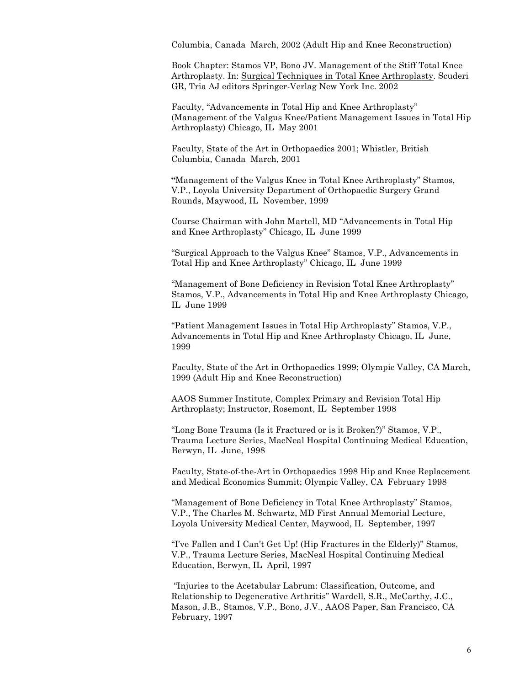Columbia, Canada March, 2002 (Adult Hip and Knee Reconstruction)

Book Chapter: Stamos VP, Bono JV. Management of the Stiff Total Knee Arthroplasty. In: Surgical Techniques in Total Knee Arthroplasty. Scuderi GR, Tria AJ editors Springer-Verlag New York Inc. 2002

Faculty, "Advancements in Total Hip and Knee Arthroplasty" (Management of the Valgus Knee/Patient Management Issues in Total Hip Arthroplasty) Chicago, IL May 2001

Faculty, State of the Art in Orthopaedics 2001; Whistler, British Columbia, Canada March, 2001

**"**Management of the Valgus Knee in Total Knee Arthroplasty" Stamos, V.P., Loyola University Department of Orthopaedic Surgery Grand Rounds, Maywood, IL November, 1999

Course Chairman with John Martell, MD "Advancements in Total Hip and Knee Arthroplasty" Chicago, IL June 1999

"Surgical Approach to the Valgus Knee" Stamos, V.P., Advancements in Total Hip and Knee Arthroplasty" Chicago, IL June 1999

"Management of Bone Deficiency in Revision Total Knee Arthroplasty" Stamos, V.P., Advancements in Total Hip and Knee Arthroplasty Chicago, IL June 1999

"Patient Management Issues in Total Hip Arthroplasty" Stamos, V.P., Advancements in Total Hip and Knee Arthroplasty Chicago, IL June, 1999

Faculty, State of the Art in Orthopaedics 1999; Olympic Valley, CA March, 1999 (Adult Hip and Knee Reconstruction)

AAOS Summer Institute, Complex Primary and Revision Total Hip Arthroplasty; Instructor, Rosemont, IL September 1998

"Long Bone Trauma (Is it Fractured or is it Broken?)" Stamos, V.P., Trauma Lecture Series, MacNeal Hospital Continuing Medical Education, Berwyn, IL June, 1998

Faculty, State-of-the-Art in Orthopaedics 1998 Hip and Knee Replacement and Medical Economics Summit; Olympic Valley, CA February 1998

"Management of Bone Deficiency in Total Knee Arthroplasty" Stamos, V.P., The Charles M. Schwartz, MD First Annual Memorial Lecture, Loyola University Medical Center, Maywood, IL September, 1997

"I've Fallen and I Can't Get Up! (Hip Fractures in the Elderly)" Stamos, V.P., Trauma Lecture Series, MacNeal Hospital Continuing Medical Education, Berwyn, IL April, 1997

"Injuries to the Acetabular Labrum: Classification, Outcome, and Relationship to Degenerative Arthritis" Wardell, S.R., McCarthy, J.C., Mason, J.B., Stamos, V.P., Bono, J.V., AAOS Paper, San Francisco, CA February, 1997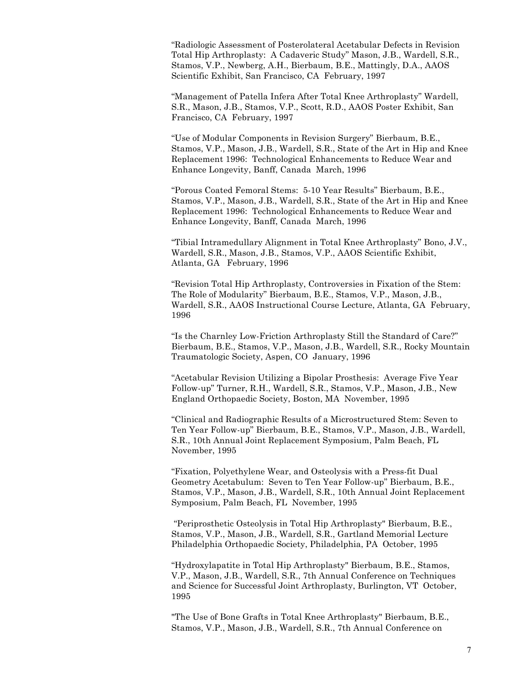"Radiologic Assessment of Posterolateral Acetabular Defects in Revision Total Hip Arthroplasty: A Cadaveric Study" Mason, J.B., Wardell, S.R., Stamos, V.P., Newberg, A.H., Bierbaum, B.E., Mattingly, D.A., AAOS Scientific Exhibit, San Francisco, CA February, 1997

"Management of Patella Infera After Total Knee Arthroplasty" Wardell, S.R., Mason, J.B., Stamos, V.P., Scott, R.D., AAOS Poster Exhibit, San Francisco, CA February, 1997

"Use of Modular Components in Revision Surgery" Bierbaum, B.E., Stamos, V.P., Mason, J.B., Wardell, S.R., State of the Art in Hip and Knee Replacement 1996: Technological Enhancements to Reduce Wear and Enhance Longevity, Banff, Canada March, 1996

"Porous Coated Femoral Stems: 5-10 Year Results" Bierbaum, B.E., Stamos, V.P., Mason, J.B., Wardell, S.R., State of the Art in Hip and Knee Replacement 1996: Technological Enhancements to Reduce Wear and Enhance Longevity, Banff, Canada March, 1996

"Tibial Intramedullary Alignment in Total Knee Arthroplasty" Bono, J.V., Wardell, S.R., Mason, J.B., Stamos, V.P., AAOS Scientific Exhibit, Atlanta, GA February, 1996

"Revision Total Hip Arthroplasty, Controversies in Fixation of the Stem: The Role of Modularity" Bierbaum, B.E., Stamos, V.P., Mason, J.B., Wardell, S.R., AAOS Instructional Course Lecture, Atlanta, GA February, 1996

"Is the Charnley Low-Friction Arthroplasty Still the Standard of Care?" Bierbaum, B.E., Stamos, V.P., Mason, J.B., Wardell, S.R., Rocky Mountain Traumatologic Society, Aspen, CO January, 1996

"Acetabular Revision Utilizing a Bipolar Prosthesis: Average Five Year Follow-up" Turner, R.H., Wardell, S.R., Stamos, V.P., Mason, J.B., New England Orthopaedic Society, Boston, MA November, 1995

"Clinical and Radiographic Results of a Microstructured Stem: Seven to Ten Year Follow-up" Bierbaum, B.E., Stamos, V.P., Mason, J.B., Wardell, S.R., 10th Annual Joint Replacement Symposium, Palm Beach, FL November, 1995

"Fixation, Polyethylene Wear, and Osteolysis with a Press-fit Dual Geometry Acetabulum: Seven to Ten Year Follow-up" Bierbaum, B.E., Stamos, V.P., Mason, J.B., Wardell, S.R., 10th Annual Joint Replacement Symposium, Palm Beach, FL November, 1995

"Periprosthetic Osteolysis in Total Hip Arthroplasty" Bierbaum, B.E., Stamos, V.P., Mason, J.B., Wardell, S.R., Gartland Memorial Lecture Philadelphia Orthopaedic Society, Philadelphia, PA October, 1995

"Hydroxylapatite in Total Hip Arthroplasty" Bierbaum, B.E., Stamos, V.P., Mason, J.B., Wardell, S.R., 7th Annual Conference on Techniques and Science for Successful Joint Arthroplasty, Burlington, VT October, 1995

"The Use of Bone Grafts in Total Knee Arthroplasty" Bierbaum, B.E., Stamos, V.P., Mason, J.B., Wardell, S.R., 7th Annual Conference on